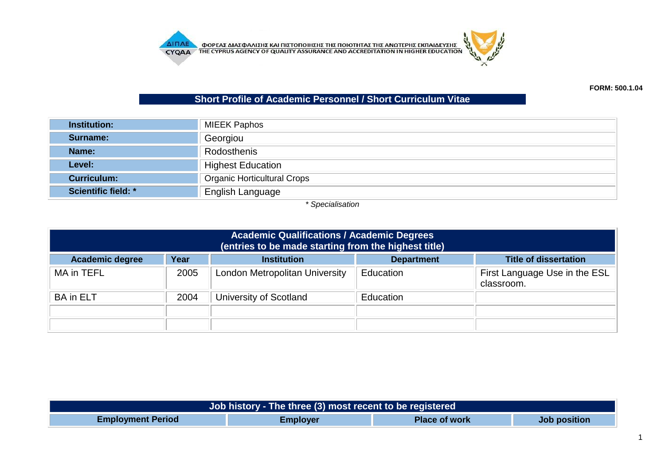

## **Short Profile of Academic Personnel / Short Curriculum Vitae**

| <b>Institution:</b>        | <b>MIEEK Paphos</b>                |
|----------------------------|------------------------------------|
| Surname:                   | Georgiou                           |
| Name:                      | Rodosthenis                        |
| Level:                     | <b>Highest Education</b>           |
| <b>Curriculum:</b>         | <b>Organic Horticultural Crops</b> |
| <b>Scientific field: *</b> | English Language                   |

*\* Specialisation*

| <b>Academic Qualifications / Academic Degrees</b><br>(entries to be made starting from the highest title) |                   |                                |           |                                             |  |
|-----------------------------------------------------------------------------------------------------------|-------------------|--------------------------------|-----------|---------------------------------------------|--|
| <b>Academic degree</b>                                                                                    | <b>Department</b> | <b>Title of dissertation</b>   |           |                                             |  |
| MA in TEFL                                                                                                | 2005              | London Metropolitan University | Education | First Language Use in the ESL<br>classroom. |  |
| <b>BA</b> in ELT                                                                                          | 2004              | University of Scotland         | Education |                                             |  |
|                                                                                                           |                   |                                |           |                                             |  |
|                                                                                                           |                   |                                |           |                                             |  |

| Job history - The three (3) most recent to be registered |                 |                      |                     |  |
|----------------------------------------------------------|-----------------|----------------------|---------------------|--|
| <b>Employment Period</b>                                 | <b>Employer</b> | <b>Place of work</b> | <b>Job position</b> |  |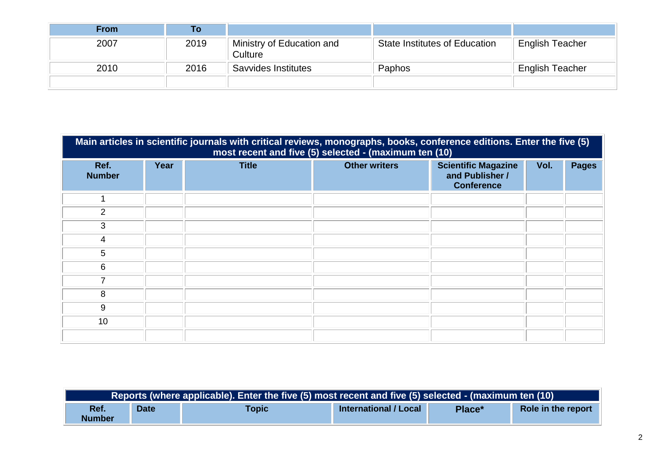| <b>From</b> | ۱o   |                                      |                                      |                        |
|-------------|------|--------------------------------------|--------------------------------------|------------------------|
| 2007        | 2019 | Ministry of Education and<br>Culture | <b>State Institutes of Education</b> | <b>English Teacher</b> |
| 2010        | 2016 | Savvides Institutes                  | Paphos                               | English Teacher        |
|             |      |                                      |                                      |                        |

|                       | Main articles in scientific journals with critical reviews, monographs, books, conference editions. Enter the five (5)<br>most recent and five (5) selected - (maximum ten (10) |              |                      |                                                                    |      |              |  |  |
|-----------------------|---------------------------------------------------------------------------------------------------------------------------------------------------------------------------------|--------------|----------------------|--------------------------------------------------------------------|------|--------------|--|--|
| Ref.<br><b>Number</b> | Year                                                                                                                                                                            | <b>Title</b> | <b>Other writers</b> | <b>Scientific Magazine</b><br>and Publisher /<br><b>Conference</b> | Vol. | <b>Pages</b> |  |  |
|                       |                                                                                                                                                                                 |              |                      |                                                                    |      |              |  |  |
| $\overline{2}$        |                                                                                                                                                                                 |              |                      |                                                                    |      |              |  |  |
| 3                     |                                                                                                                                                                                 |              |                      |                                                                    |      |              |  |  |
| 4                     |                                                                                                                                                                                 |              |                      |                                                                    |      |              |  |  |
| 5                     |                                                                                                                                                                                 |              |                      |                                                                    |      |              |  |  |
| 6                     |                                                                                                                                                                                 |              |                      |                                                                    |      |              |  |  |
| 7                     |                                                                                                                                                                                 |              |                      |                                                                    |      |              |  |  |
| 8                     |                                                                                                                                                                                 |              |                      |                                                                    |      |              |  |  |
| 9                     |                                                                                                                                                                                 |              |                      |                                                                    |      |              |  |  |
| 10                    |                                                                                                                                                                                 |              |                      |                                                                    |      |              |  |  |
|                       |                                                                                                                                                                                 |              |                      |                                                                    |      |              |  |  |

| Reports (where applicable). Enter the five (5) most recent and five (5) selected - (maximum ten (10) |             |              |                              |        |                    |
|------------------------------------------------------------------------------------------------------|-------------|--------------|------------------------------|--------|--------------------|
| Ref.<br><b>Number</b>                                                                                | <b>Date</b> | <b>Topic</b> | <b>International / Local</b> | Place* | Role in the report |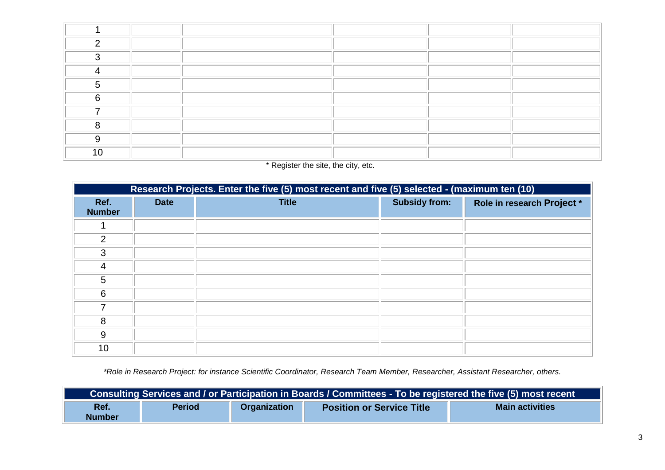| C. |  |  |  |
|----|--|--|--|
|    |  |  |  |
|    |  |  |  |
|    |  |  |  |
| ~  |  |  |  |
|    |  |  |  |
|    |  |  |  |
|    |  |  |  |
| "  |  |  |  |

## \* Register the site, the city, etc.

|                       | Research Projects. Enter the five (5) most recent and five (5) selected - (maximum ten (10) |              |                      |                            |  |  |
|-----------------------|---------------------------------------------------------------------------------------------|--------------|----------------------|----------------------------|--|--|
| Ref.<br><b>Number</b> | <b>Date</b>                                                                                 | <b>Title</b> | <b>Subsidy from:</b> | Role in research Project * |  |  |
|                       |                                                                                             |              |                      |                            |  |  |
| $\overline{2}$        |                                                                                             |              |                      |                            |  |  |
| 3                     |                                                                                             |              |                      |                            |  |  |
| $\overline{4}$        |                                                                                             |              |                      |                            |  |  |
| 5                     |                                                                                             |              |                      |                            |  |  |
| 6                     |                                                                                             |              |                      |                            |  |  |
| ⇁                     |                                                                                             |              |                      |                            |  |  |
| 8                     |                                                                                             |              |                      |                            |  |  |
| 9                     |                                                                                             |              |                      |                            |  |  |
| 10                    |                                                                                             |              |                      |                            |  |  |

*\*Role in Research Project: for instance Scientific Coordinator, Research Team Member, Researcher, Assistant Researcher, others.*

| Consulting Services and / or Participation in Boards / Committees - To be registered the five (5) most recent |               |                     |                                  |                        |
|---------------------------------------------------------------------------------------------------------------|---------------|---------------------|----------------------------------|------------------------|
| Ref.<br><b>Number</b>                                                                                         | <b>Period</b> | <b>Organization</b> | <b>Position or Service Title</b> | <b>Main activities</b> |